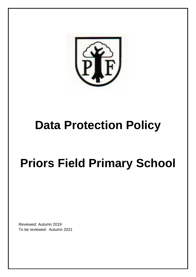

## **Data Protection Policy**

# **Priors Field Primary School**

Reviewed: Autumn 2019 To be reviewed: Autumn 2021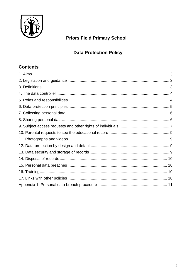

## **Priors Field Primary School**

## **Data Protection Policy**

## **Contents**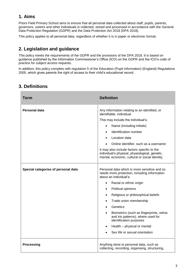## **1. Aims**

Priors Field Primary School aims to ensure that all personal data collected about staff, pupils, parents, governors, visitors and other individuals is collected, stored and processed in accordance with the General Data Protection Regulation (GDPR) and the Data Protection Act 2018 (DPA 2018).

This policy applies to all personal data, regardless of whether it is in paper or electronic format.

## **2. Legislation and guidance**

This policy meets the requirements of the GDPR and the provisions of the DPA 2018. It is based on guidance published by the Information Commissioner's Office (ICO) on the GDPR and the ICO's code of practice for subject access requests.

In addition, this policy complies with regulation 5 of the Education (Pupil Information) (England) Regulations 2005, which gives parents the right of access to their child's educational record.

## **3. Definitions**

| <b>Term</b>                         | <b>Definition</b>                                                                                                                                                                                                                                                                                                                                                                                      |
|-------------------------------------|--------------------------------------------------------------------------------------------------------------------------------------------------------------------------------------------------------------------------------------------------------------------------------------------------------------------------------------------------------------------------------------------------------|
| Personal data                       | Any information relating to an identified, or<br>identifiable, individual.<br>This may include the individual's:<br>Name (including initials)<br>$\bullet$<br>Identification number<br>$\bullet$<br>Location data<br>Online identifier, such as a username<br>It may also include factors specific to the                                                                                              |
|                                     | individual's physical, physiological, genetic,<br>mental, economic, cultural or social identity.                                                                                                                                                                                                                                                                                                       |
| Special categories of personal data | Personal data which is more sensitive and so<br>needs more protection, including information<br>about an individual's:<br>Racial or ethnic origin<br>$\bullet$<br>Political opinions<br>$\bullet$<br>Religious or philosophical beliefs<br>Trade union membership<br>$\bullet$<br>Genetics<br>$\bullet$<br>Biometrics (such as fingerprints, retina<br>$\bullet$<br>and iris patterns), where used for |
|                                     | identification purposes<br>Health - physical or mental                                                                                                                                                                                                                                                                                                                                                 |
|                                     | Sex life or sexual orientation                                                                                                                                                                                                                                                                                                                                                                         |
| <b>Processing</b>                   | Anything done to personal data, such as<br>collecting, recording, organising, structuring,                                                                                                                                                                                                                                                                                                             |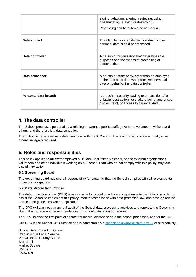|                      | storing, adapting, altering, retrieving, using,<br>disseminating, erasing or destroying.<br>Processing can be automated or manual.                      |
|----------------------|---------------------------------------------------------------------------------------------------------------------------------------------------------|
| Data subject         | The identified or identifiable individual whose<br>personal data is held or processed.                                                                  |
| Data controller      | A person or organisation that determines the<br>purposes and the means of processing of<br>personal data.                                               |
| Data processor       | A person or other body, other than an employee<br>of the data controller, who processes personal<br>data on behalf of the data controller.              |
| Personal data breach | A breach of security leading to the accidental or<br>unlawful destruction, loss, alteration, unauthorised<br>disclosure of, or access to personal data. |

#### **4. The data controller**

The School processes personal data relating to parents, pupils, staff, governors, volunteers, visitors and others, and therefore is a data controller.

The School is registered as a data controller with the ICO and will renew this registration annually or as otherwise legally required.

#### **5. Roles and responsibilities**

This policy applies to **all staff** employed by Priors Field Primary School, and to external organisations, volunteers and other individuals working on our behalf. Staff who do not comply with this policy may face disciplinary action.

#### **5.1 Governing Board**

The governing board has overall responsibility for ensuring that the School complies with all relevant data protection obligations.

#### **5.2 Data Protection Officer**

The data protection officer (DPO) is responsible for providing advice and guidance to the School in order to assist the School to implement this policy, monitor compliance with data protection law, and develop related policies and guidelines where applicable.

The DPO will carry out an annual audit of the School data processing activities and report to the Governing Board their advice and recommendations on school data protection issues.

The DPO is also the first point of contact for individuals whose data the school processes, and for the ICO.

Our DPO is the School DPO Service and is contactable via [schooldpo@warwickshire.gov.uk](mailto:schooldpo@warwickshire.gov.uk) or alternatively;

School Data Protection Officer Warwickshire Legal Services Warwickshire County Council Shire Hall Market Square Warwick CV34 4RL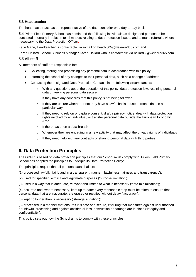#### **5.3 Headteacher**

.

The headteacher acts as the representative of the data controller on a day-to-day basis.

**5.4** Priors Field Primary School has nominated the following individuals as designated persons to be contacted internally in relation to all matters relating to data protection issues, and to make referrals, where necessary, to the Data Protection Officer:

Katie Gane, Headteacher is contactable via e-mail on head2605@welearn365.com and

Karen Hallard, School Business Manager Karen Hallard who is contactable via hallard.k@welearn365.com.

#### **5.5 All staff**

All members of staff are responsible for:

- Collecting, storing and processing any personal data in accordance with this policy
- Informing the school of any changes to their personal data, such as a change of address
- Contacting the designated Data Protection Contacts in the following circumstances:
	- $\circ$  With any questions about the operation of this policy, data protection law, retaining personal data or keeping personal data secure
	- o If they have any concerns that this policy is not being followed
	- $\circ$  If they are unsure whether or not they have a lawful basis to use personal data in a particular way
	- $\circ$  If they need to rely on or capture consent, draft a privacy notice, deal with data protection rights invoked by an individual, or transfer personal data outside the European Economic Area
	- $\circ$  If there has been a data breach
	- $\circ$  Whenever they are engaging in a new activity that may affect the privacy rights of individuals
	- o If they need help with any contracts or sharing personal data with third parties

#### **6. Data Protection Principles**

The GDPR is based on data protection principles that our School must comply with. Priors Field Primary School has adopted the principles to underpin its Data Protection Policy:

The principles require that all personal data shall be:

(1) processed lawfully, fairly and in a transparent manner ('lawfulness, fairness and transparency');

(2) used for specified, explicit and legitimate purposes ('purpose limitation');

(3) used in a way that is adequate, relevant and limited to what is necessary ('data minimisation');

(4) accurate and, where necessary, kept up to date; every reasonable step must be taken to ensure that personal data that are inaccurate, are erased or rectified without delay ('accuracy');

(5) kept no longer than is necessary ('storage limitation');

(6) processed in a manner that ensures it is safe and secure, ensuring that measures against unauthorised or unlawful processing and against accidental loss, destruction or damage are in place ('integrity and confidentiality').

This policy sets out how the School aims to comply with these principles.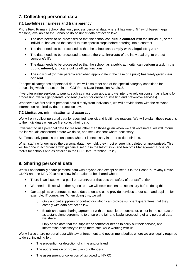## **7. Collecting personal data**

#### **7.1 Lawfulness, fairness and transparency**

Priors Field Primary School shall only process personal data where it has one of 5 'lawful bases' (legal reasons) available to the School to do so under data protection law:

- The data needs to be processed so that the school can **fulfil a contract** with the individual, or the individual has asked the school to take specific steps before entering into a contract
- The data needs to be processed so that the school can **comply with a legal obligation**
- The data needs to be processed to ensure the **vital interests** of the individual e.g. to protect someone's life
- The data needs to be processed so that the school, as a public authority, can perform a task **in the public interest,** and carry out its official functions
- The individual (or their parent/carer when appropriate in the case of a pupil) has freely given clear **consent**

For special categories of personal data, we will also meet one of the special category conditions for processing which are set out in the GDPR and Data Protection Act 2018.

If we offer online services to pupils, such as classroom apps, and we intend to rely on consent as a basis for processing, we will get parental consent (except for online counselling and preventive services).

Whenever we first collect personal data directly from individuals, we will provide them with the relevant information required by data protection law.

#### **7.2 Limitation, minimisation and accuracy**

We will only collect personal data for specified, explicit and legitimate reasons. We will explain these reasons to the individuals when we first collect their data.

If we want to use personal data for reasons other than those given when we first obtained it, we will inform the individuals concerned before we do so, and seek consent where necessary.

Staff must only process personal data where it is necessary in order to do their jobs.

When staff no longer need the personal data they hold, they must ensure it is deleted or anonymised. This will be done in accordance with guidance set out in the Information and Records Management Society's toolkit for schools and as detailed in the PFP Data Retention Policy.

#### **8. Sharing personal data**

We will not normally share personal data with anyone else except as set out in the School's Privacy Notice. GDPR and the DPA 2018 also allow information to be shared where:

- There is an issue with a pupil or parent/carer that puts the safety of our staff at risk
- We need to liaise with other agencies we will seek consent as necessary before doing this
- Our suppliers or contractors need data to enable us to provide services to our staff and pupils for example, IT companies. When doing this, we will:
	- $\circ$  Only appoint suppliers or contractors which can provide sufficient guarantees that they comply with data protection law
	- $\circ$  Establish a data sharing agreement with the supplier or contractor, either in the contract or as a standalone agreement, to ensure the fair and lawful processing of any personal data we share
	- $\circ$  Only share data that the supplier or contractor needs to carry out their service, and information necessary to keep them safe while working with us

We will also share personal data with law enforcement and government bodies where we are legally required to do so, including for:

- The prevention or detection of crime and/or fraud
- The apprehension or prosecution of offenders
- The assessment or collection of tax owed to HMRC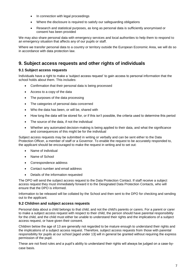- In connection with legal proceedings
- Where the disclosure is required to satisfy our safeguarding obligations
- Research and statistical purposes, as long as personal data is sufficiently anonymised or consent has been provided

We may also share personal data with emergency services and local authorities to help them to respond to an emergency situation that affects any of our pupils or staff.

Where we transfer personal data to a country or territory outside the European Economic Area, we will do so in accordance with data protection law.

## **9. Subject access requests and other rights of individuals**

#### **9.1 Subject access requests**

Individuals have a right to make a 'subject access request' to gain access to personal information that the school holds about them. This includes:

- Confirmation that their personal data is being processed
- Access to a copy of the data
- The purposes of the data processing
- The categories of personal data concerned
- Who the data has been, or will be, shared with
- How long the data will be stored for, or if this isn't possible, the criteria used to determine this period
- The source of the data, if not the individual
- Whether any automated decision-making is being applied to their data, and what the significance and consequences of this might be for the individual

Subject access requests may be submitted in writing or verbally and can be sent either to the Data Protection Officer, a member of staff or a Governor. To enable the request to be accurately responded to, the applicant should be encouraged to make the request in writing and to set out:

- Name of individual
- Name of School
- Correspondence address
- Contact number and email address
- Details of the information requested

The DPO will send the subject access request to the Data Protection Contact. If staff receive a subject access request they must immediately forward it to the Designated Data Protection Contacts, who will ensure that the DPO is informed.

Information to be released will be collated by the School and then sent to the DPO for checking and sending out to the applicant.

#### **9.2 Children and subject access requests**

Personal data about a child belongs to that child, and not the child's parents or carers. For a parent or carer to make a subject access request with respect to their child, the person should have parental responsibility for the child, and the child must either be unable to understand their rights and the implications of a subject access request, or have given their consent.

Children below the age of 13 are generally not regarded to be mature enough to understand their rights and the implications of a subject access request. Therefore, subject access requests from those with parental responsibility for pupils at our school [aged under 13] will in general be granted without requiring the express permission of the pupil.

These are not fixed rules and a pupil's ability to understand their rights will always be judged on a case-bycase basis.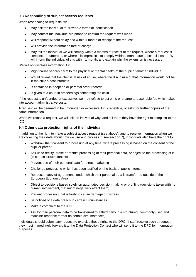#### **9.3 Responding to subject access requests**

When responding to requests, we:

- May ask the individual to provide 2 forms of identification
- May contact the individual via phone to confirm the request was made
- Will respond without delay and within 1 month of receipt of the request
- Will provide the information free of charge
- May tell the individual we will comply within 3 months of receipt of the request, where a request is complex or numerous, or where it is impractical to comply within a month due to school closure. We will inform the individual of this within 1 month, and explain why the extension is necessary

We will not disclose information if it:

- Might cause serious harm to the physical or mental health of the pupil or another individual
- Would reveal that the child is at risk of abuse, where the disclosure of that information would not be in the child's best interests
- Is contained in adoption or parental order records
- Is given to a court in proceedings concerning the child

If the request is unfounded or excessive, we may refuse to act on it, or charge a reasonable fee which takes into account administrative costs.

A request will be deemed to be unfounded or excessive if it is repetitive, or asks for further copies of the same information.

When we refuse a request, we will tell the individual why, and tell them they have the right to complain to the ICO.

#### **9.4 Other data protection rights of the individual**

In addition to the right to make a subject access request (see above), and to receive information when we are collecting their data about how we use and process it (see section 7), individuals also have the right to:

- Withdraw their consent to processing at any time, where processing is based on the consent of the pupil or parent
- Ask us to rectify, erase or restrict processing of their personal data, or object to the processing of it (in certain circumstances)
- Prevent use of their personal data for direct marketing
- Challenge processing which has been justified on the basis of public interest
- Request a copy of agreements under which their personal data is transferred outside of the European Economic Area
- Object to decisions based solely on automated decision making or profiling (decisions taken with no human involvement, that might negatively affect them)
- Prevent processing that is likely to cause damage or distress
- Be notified of a data breach in certain circumstances
- Make a complaint to the ICO
- Ask for their personal data to be transferred to a third party in a structured, commonly used and machine-readable format (in certain circumstances)

Individuals should submit any request to exercise these rights to the DPO. If staff receive such a request, they must immediately forward it to the Data Protection Contact who will send it to the DPO for information purposes.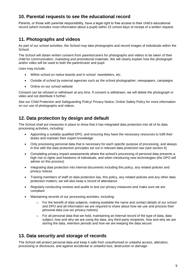## **10. Parental requests to see the educational record**

Parents, or those with parental responsibility, have a legal right to free access to their child's educational record (which includes most information about a pupil) within 15 school days of receipt of a written request.

## **11. Photographs and videos**

As part of our school activities, the School may take photographs and record images of individuals within the School.

The School will obtain written consent from parents/carers for photographs and videos to be taken of their child for communication, marketing and promotional materials. We will clearly explain how the photograph and/or video will be used to both the parent/carer and pupil.

Uses may include:

- Within school on notice boards and in school newsletters, etc.
- Outside of school by external agencies such as the school photographer, newspapers, campaigns
- Online on our school website

Consent can be refused or withdrawn at any time. If consent is withdrawn, we will delete the photograph or video and not distribute it further.

See our Child Protection and Safeguarding Policy/ Privacy Notice, Online Safety Policy for more information on our use of photographs and videos.

#### **12. Data protection by design and default**

The School shall put measures in place to show that it has integrated data protection into all of its data processing activities, including:

- Appointing a suitably qualified DPO, and ensuring they have the necessary resources to fulfil their duties and maintain their expert knowledge
- Only processing personal data that is necessary for each specific purpose of processing, and always in line with the data protection principles set out in relevant data protection law (see section 6)
- Completing privacy impact assessments where the school's processing of personal data presents a high risk to rights and freedoms of individuals, and when introducing new technologies (the DPO will advise on this process)
- Integrating data protection into internal documents including this policy, any related policies and privacy notices
- Training members of staff on data protection law, this policy, any related policies and any other data protection matters; we will also keep a record of attendance
- Regularly conducting reviews and audits to test our privacy measures and make sure we are compliant
- Maintaining records of our processing activities, including:
	- o For the benefit of data subjects, making available the name and contact details of our school and DPO and all information we are required to share about how we use and process their personal data (via our privacy notices)
	- $\circ$  For all personal data that we hold, maintaining an internal record of the type of data, data subject, how and why we are using the data, any third-party recipients, how and why we are storing the data, retention periods and how we are keeping the data secure.

#### **13. Data security and storage of records**

The School will protect personal data and keep it safe from unauthorised or unlawful access, alteration, processing or disclosure, and against accidental or unlawful loss, destruction or damage.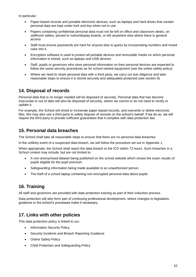In particular:

- Paper-based records and portable electronic devices, such as laptops and hard drives that contain personal data are kept under lock and key when not in use
- Papers containing confidential personal data must not be left on office and classroom desks, on staffroom tables, pinned to notice/display boards, or left anywhere else where there is general access
- Staff must ensure passwords are hard for anyone else to guess by incorporating numbers and mixed case into it.
- Encryption software is used to protect all portable devices and removable media on which personal information is stored, such as laptops and USB devices
- Staff, pupils or governors who store personal information on their personal devices are expected to follow the same security procedures as for school-owned equipment (see the online safety policy)
- Where we need to share personal data with a third party, we carry out due diligence and take reasonable steps to ensure it is stored securely and adequately protected (see section 8)

## **14. Disposal of records**

Personal data that is no longer needed will be disposed of securely. Personal data that has become inaccurate or out of date will also be disposed of securely, where we cannot or do not need to rectify or update it.

For example, the School will shred or incinerate paper-based records, and overwrite or delete electronic files. We may also use a third party to safely dispose of records on the school's behalf. If we do so, we will require the third party to provide sufficient guarantees that it complies with data protection law.

## **15. Personal data breaches**

The School shall take all reasonable steps to ensure that there are no personal data breaches.

In the unlikely event of a suspected data breach, we will follow the procedure set out in Appendix 1.

When appropriate, the School shall report the data breach to the ICO within 72 hours. Such breaches in a School context may include, but are not limited to:

- A non-anonymised dataset being published on the school website which shows the exam results of pupils eligible for the pupil premium
- Safeguarding information being made available to an unauthorised person
- The theft of a school laptop containing non-encrypted personal data about pupils

## **16. Training**

All staff and governors are provided with data protection training as part of their induction process.

Data protection will also form part of continuing professional development, where changes to legislation, guidance or the school's processes make it necessary.

## **17. Links with other policies**

This data protection policy is linked to our:

- Information Security Policy
- Security Incidents and Breach Reporting Guidance
- Online Safety Policy
- Child Protection and Safeguarding Policy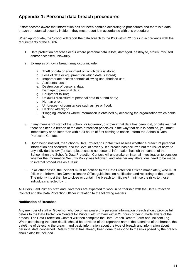## **Appendix 1: Personal data breach procedures**

If staff become aware that information has not been handled according to procedures and there is a data breach or potential security incident, they must report it in accordance with this procedure.

When appropriate, the School will report the data breach to the ICO within 72 hours in accordance with the requirements of the GDPR.

- 1. Data protection breaches occur where personal data is lost, damaged, destroyed, stolen, misused and/or accessed unlawfully.
- 2. Examples of how a breach may occur include:
	- a. Theft of data or equipment on which data is stored;
	- b. Loss of data or equipment on which data is stored;
	- c. Inappropriate access controls allowing unauthorised use;
	- d. Accidental Loss;
	- e. Destruction of personal data;
	- f. Damage to personal data;
	- g. Equipment failure;
	- h. Unlawful disclosure of personal data to a third party;
	- i. Human error;
	- j. Unforeseen circumstances such as fire or flood;
	- k. Hacking attack; or
	- l. 'Blagging' offences where information is obtained by deceiving the organisation which holds it.
- 3. If any member of staff of the School, or Governor, discovers that data has been lost, or believes that there has been a breach of the data protection principles in the way that data is handled, you must immediately or no later than within 24 hours of first coming to notice, inform the School's Data Protection Contact.
- 4. Upon being notified, the School's Data Protection Contact will assess whether a breach of personal information has occurred, and the level of severity. If a breach has occurred but the risk of harm to any individual is low (for example, because no personal information has left the control of the School, then the School's Data Protection Contact will undertake an internal investigation to consider whether the Information Security Policy was followed, and whether any alterations need to be made to internal procedures as a result.
- 5. In all other cases, the incident must be notified to the Data Protection Officer immediately, who must follow the Information Commissioner's Office guidelines on notification and recording of the breach. The priority must then be to close or contain the breach to mitigate / minimise the risks to those individuals affected by it.

All Priors Field Primary staff and Governors are expected to work in partnership with the Data Protection Contact and the Data Protection Officer in relation to the following matters

#### **Notification of Breaches**

Any member of staff or Governor who becomes aware of a personal information breach should provide full details to the Data Protection Contact for Priors Field Primary within 24 hours of being made aware of the breach. The Data Protection Contact will then complete the Data Breach Record Form and Incident Log. When completing the form details should be provided of the reporter's name, the date/time of the breach, the date/time of detecting the breach, and basic information about the type of breach and information about personal data concerned. Details of what has already been done to respond to the risks posed by the breach should also be included.